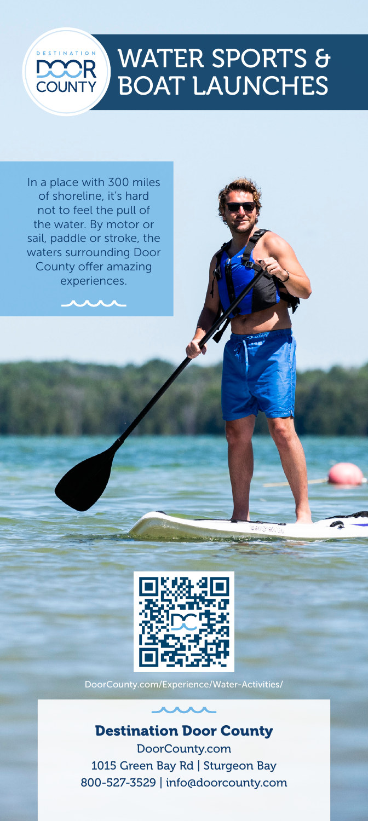# WATER SPORTS & BOAT LAUNCHES **COUNT**

In a place with 300 miles of shoreline, it's hard not to feel the pull of the water. By motor or sail, paddle or stroke, the waters surrounding Door County offer amazing experiences.



DoorCounty.com/Experience/Water-Activities/

Destination Door County

DoorCounty.com 1015 Green Bay Rd | Sturgeon Bay 800-527-3529 | info@doorcounty.com